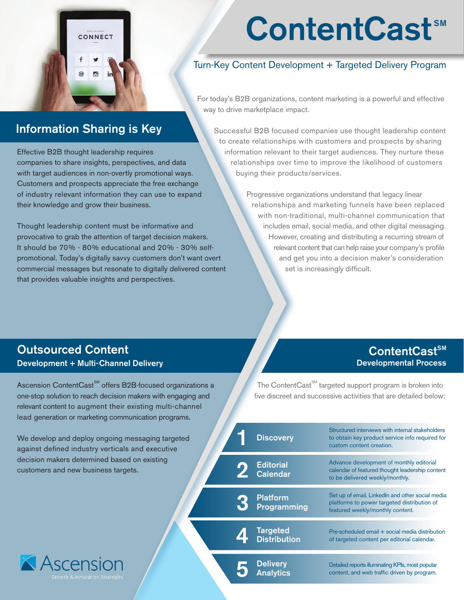## CONNECT @  $\bullet$

# ContentCast<sup>™</sup>

#### Turn-Key Content Development + Targeted Delivery Program

For today's B2B organizations, content marketing is a powerful and effective way to drive marketplace impact.

### Information Sharing is Key

Effective B2B thought leadership requires companies to share insights, perspectives, and data with target audiences in non-overtly promotional ways. Customers and prospects appreciate the free exchange of industry relevant information they can use to expand their knowledge and grow their business.

Thought leadership content must be informative and provocative to grab the attention of target decision makers. It should be 70% - 80% educational and 20% - 30% selfpromotional. Today's digitally savvy customers don't want overt commercial messages but resonate to digitally delivered content that provides valuable insights and perspectives.

Successful B2B focused companies use thought leadership content to create relationships with customers and prospects by sharing information relevant to their target audiences. They nurture these relationships over time to improve the likelihood of customers buying their products/services.

> Progressive organizations understand that legacy linear relationships and marketing funnels have been replaced with non-traditional, multi-channel communication that includes email, social media, and other digital messaging. However, creating and distributing a recurring stream of relevant content that can help raise your company's profile and get you into a decision maker's consideration set is increasingly difficult.

#### Outsourced Content Development + Multi-Channel Delivery

Ascension ContentCast<sup>SM</sup> offers B2B-focused organizations a one-stop solution to reach decision makers with engaging and relevant content to augment their existing multi-channel lead generation or marketing c

We develop and deploy ongo against defined industry ver decision makers determined customers and new business

**X** Ascens

#### $ContentCast<sup>sm</sup>$ Developmental Process

The Content $\text{Cast}^{\text{SM}}$  targeted support program is broken into five discreet and successive activities that are detailed below:

| sonningi lioquon programs.                                                                   |                                       |                                                                                                                                     |
|----------------------------------------------------------------------------------------------|---------------------------------------|-------------------------------------------------------------------------------------------------------------------------------------|
| ping messaging targeted<br>ticals and executive<br>based on existing<br>s targets.<br>egies: | <b>Discovery</b>                      | Structured interviews with internal stakeholders<br>to obtain key product service info required for<br>custom content creation.     |
|                                                                                              | Editorial<br>Calendar                 | Advance development of monthly editorial<br>calendar of featured thought leadership content<br>to be delivered weekly/monthly.      |
|                                                                                              | <b>Platform</b><br><b>Programming</b> | Set up of email, Linkedln and other social media<br>platforms to power targeted distribution of<br>featured weekly/monthly content. |
|                                                                                              | Targeted<br>Distribution              | Pre-scheduled email + social media distribution<br>of targeted content per editorial calendar.                                      |
|                                                                                              | <b>Delivery</b><br>Analytics          | Detailed reports illuminating KPIs, most popular<br>content, and web traffic driven by program.                                     |
|                                                                                              |                                       |                                                                                                                                     |